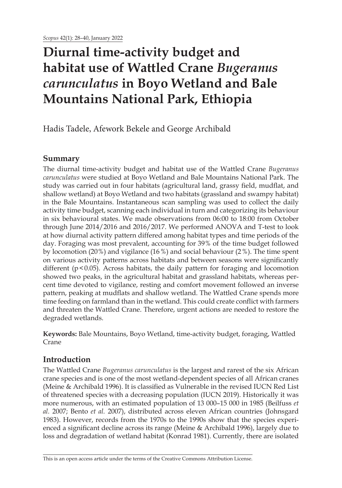# **Diurnal time-activity budget and habitat use of Wattled Crane** *Bugeranus carunculatus* **in Boyo Wetland and Bale Mountains National Park, Ethiopia**

Hadis Tadele, Afework Bekele and George Archibald

## **Summary**

The diurnal time-activity budget and habitat use of the Wattled Crane *Bugeranus carunculatus* were studied at Boyo Wetland and Bale Mountains National Park. The study was carried out in four habitats (agricultural land, grassy field, mudflat, and shallow wetland) at Boyo Wetland and two habitats (grassland and swampy habitat) in the Bale Mountains. Instantaneous scan sampling was used to collect the daily activity time budget, scanning each individual in turn and categorizing its behaviour in six behavioural states. We made observations from 06:00 to 18:00 from October through June 2014/2016 and 2016/2017. We performed ANOVA and T-test to look at how diurnal activity pattern differed among habitat types and time periods of the day. Foraging was most prevalent, accounting for 39% of the time budget followed by locomotion (20%) and vigilance (16%) and social behaviour (2%). The time spent on various activity patterns across habitats and between seasons were significantly different ( $p$ <0.05). Across habitats, the daily pattern for foraging and locomotion showed two peaks, in the agricultural habitat and grassland habitats, whereas percent time devoted to vigilance, resting and comfort movement followed an inverse pattern, peaking at mudflats and shallow wetland. The Wattled Crane spends more time feeding on farmland than in the wetland. This could create conflict with farmers and threaten the Wattled Crane. Therefore, urgent actions are needed to restore the degraded wetlands.

**Keywords:** Bale Mountains, Boyo Wetland, time-activity budget, foraging, Wattled Crane

# **Introduction**

The Wattled Crane *Bugeranus carunculatus* is the largest and rarest of the six African crane species and is one of the most wetland-dependent species of all African cranes (Meine & Archibald 1996). It is classified as Vulnerable in the revised IUCN Red List of threatened species with a decreasing population (IUCN 2019). Historically it was more numerous, with an estimated population of 13 000–15 000 in 1985 (Beilfuss *et al.* 2007; Bento *et al.* 2007), distributed across eleven African countries (Johnsgard 1983). However, records from the 1970s to the 1990s show that the species experienced a significant decline across its range (Meine & Archibald 1996), largely due to loss and degradation of wetland habitat (Konrad 1981). Currently, there are isolated

This is an open access article under the terms of the Creative Commons Attribution License.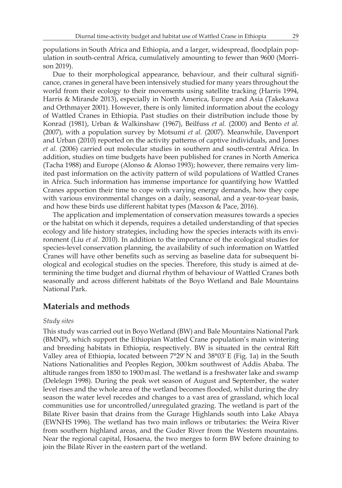populations in South Africa and Ethiopia, and a larger, widespread, floodplain population in south-central Africa, cumulatively amounting to fewer than 9600 (Morrison 2019).

Due to their morphological appearance, behaviour, and their cultural significance, cranes in general have been intensively studied for many years throughout the world from their ecology to their movements using satellite tracking (Harris 1994, Harris & Mirande 2013), especially in North America, Europe and Asia (Takekawa and Orthmayer 2001). However, there is only limited information about the ecology of Wattled Cranes in Ethiopia. Past studies on their distribution include those by Konrad (1981), Urban & Walkinshaw (1967), Beilfuss *et al.* (2000) and Bento *et al.* (2007), with a population survey by Motsumi *et al.* (2007). Meanwhile, Davenport and Urban (2010) reported on the activity patterns of captive individuals, and Jones *et al.* (2006) carried out molecular studies in southern and south-central Africa. In addition, studies on time budgets have been published for cranes in North America (Tacha 1988) and Europe (Alonso & Alonso 1993); however, there remains very limited past information on the activity pattern of wild populations of Wattled Cranes in Africa. Such information has immense importance for quantifying how Wattled Cranes apportion their time to cope with varying energy demands, how they cope with various environmental changes on a daily, seasonal, and a year-to-year basis, and how these birds use different habitat types (Maxson & Pace, 2016).

The application and implementation of conservation measures towards a species or the habitat on which it depends, requires a detailed understanding of that species ecology and life history strategies, including how the species interacts with its environment (Liu *et al.* 2010). In addition to the importance of the ecological studies for species-level conservation planning, the availability of such information on Wattled Cranes will have other benefits such as serving as baseline data for subsequent biological and ecological studies on the species. Therefore, this study is aimed at determining the time budget and diurnal rhythm of behaviour of Wattled Cranes both seasonally and across different habitats of the Boyo Wetland and Bale Mountains National Park.

### **Materials and methods**

### *Study sites*

This study was carried out in Boyo Wetland (BW) and Bale Mountains National Park (BMNP), which support the Ethiopian Wattled Crane population's main wintering and breeding habitats in Ethiopia, respectively. BW is situated in the central Rift Valley area of Ethiopia, located between  $7^{\circ}29'$  N and  $38^{\circ}03'E$  (Fig. 1a) in the South Nations Nationalities and Peoples Region, 300km southwest of Addis Ababa. The altitude ranges from 1850 to 1900masl. The wetland is a freshwater lake and swamp (Delelegn 1998). During the peak wet season of August and September, the water level rises and the whole area of the wetland becomes flooded, whilst during the dry season the water level recedes and changes to a vast area of grassland, which local communities use for uncontrolled/unregulated grazing. The wetland is part of the Bilate River basin that drains from the Gurage Highlands south into Lake Abaya (EWNHS 1996). The wetland has two main inflows or tributaries: the Weira River from southern highland areas, and the Guder River from the Western mountains. Near the regional capital, Hosaena, the two merges to form BW before draining to join the Bilate River in the eastern part of the wetland.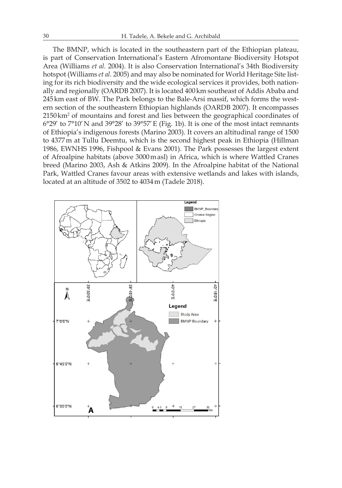The BMNP, which is located in the southeastern part of the Ethiopian plateau, is part of Conservation International's Eastern Afromontane Biodiversity Hotspot Area (Williams *et al.* 2004). It is also Conservation International's 34th Biodiversity hotspot (Williams *et al.* 2005) and may also be nominated for World Heritage Site listing for its rich biodiversity and the wide ecological services it provides, both nationally and regionally (OARDB 2007). It is located 400km southeast of Addis Ababa and 245km east of BW. The Park belongs to the Bale-Arsi massif, which forms the western section of the southeastern Ethiopian highlands (OARDB 2007). It encompasses  $2150 \,\mathrm{km^2}$  of mountains and forest and lies between the geographical coordinates of 6°29' to 7°10'N and 39°28' to 39°57'E (Fig. 1b). It is one of the most intact remnants of Ethiopia's indigenous forests (Marino 2003). It covers an altitudinal range of 1500 to 4377m at Tullu Deemtu, which is the second highest peak in Ethiopia (Hillman 1986, EWNHS 1996, Fishpool & Evans 2001). The Park possesses the largest extent of Afroalpine habitats (above 3000masl) in Africa, which is where Wattled Cranes breed (Marino 2003, Ash & Atkins 2009). In the Afroalpine habitat of the National Park, Wattled Cranes favour areas with extensive wetlands and lakes with islands, located at an altitude of 3502 to 4034m (Tadele 2018).

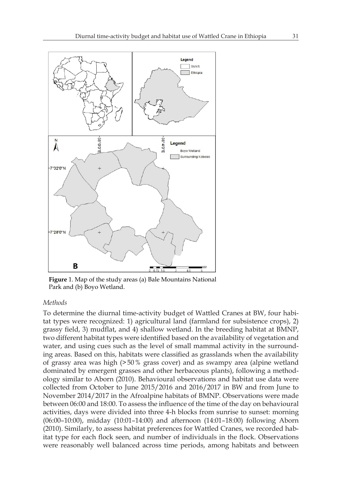

**Figure** 1. Map of the study areas (a) Bale Mountains National Park and (b) Boyo Wetland.

### *Methods*

To determine the diurnal time-activity budget of Wattled Cranes at BW, four habitat types were recognized: 1) agricultural land (farmland for subsistence crops), 2) grassy field, 3) mudflat, and 4) shallow wetland. In the breeding habitat at BMNP, two different habitat types were identified based on the availability of vegetation and water, and using cues such as the level of small mammal activity in the surrounding areas. Based on this, habitats were classified as grasslands when the availability of grassy area was high (>50% grass cover) and as swampy area (alpine wetland dominated by emergent grasses and other herbaceous plants), following a methodology similar to Aborn (2010). Behavioural observations and habitat use data were collected from October to June 2015/2016 and 2016/2017 in BW and from June to November 2014/2017 in the Afroalpine habitats of BMNP. Observations were made between 06:00 and 18:00. To assess the influence of the time of the day on behavioural activities, days were divided into three 4-h blocks from sunrise to sunset: morning (06:00–10:00), midday (10:01–14:00) and afternoon (14:01–18:00) following Aborn (2010). Similarly, to assess habitat preferences for Wattled Cranes, we recorded habitat type for each flock seen, and number of individuals in the flock. Observations were reasonably well balanced across time periods, among habitats and between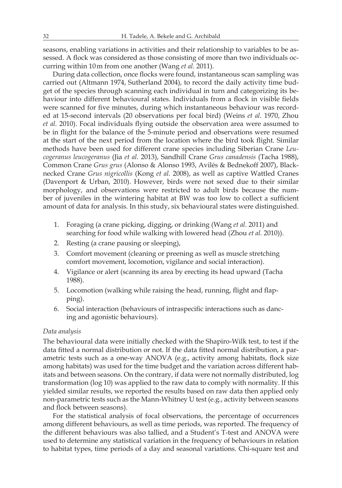seasons, enabling variations in activities and their relationship to variables to be assessed. A flock was considered as those consisting of more than two individuals occurring within 10m from one another (Wang *et al.* 2011).

During data collection, once flocks were found, instantaneous scan sampling was carried out (Altmann 1974, Sutherland 2004), to record the daily activity time budget of the species through scanning each individual in turn and categorizing its behaviour into different behavioural states. Individuals from a flock in visible fields were scanned for five minutes, during which instantaneous behaviour was recorded at 15-second intervals (20 observations per focal bird) (Weins *et al*. 1970, Zhou *et al.* 2010). Focal individuals flying outside the observation area were assumed to be in flight for the balance of the 5-minute period and observations were resumed at the start of the next period from the location where the bird took flight. Similar methods have been used for different crane species including Siberian Crane *Leucogeranus leucogeranus* (Jia *et al.* 2013), Sandhill Crane *Grus canadensis* (Tacha 1988), Common Crane *Grus grus* (Alonso & Alonso 1993, Avilés & Bednekoff 2007), Blacknecked Crane *Grus nigricollis* (Kong *et al.* 2008), as well as captive Wattled Cranes (Davenport & Urban, 2010). However, birds were not sexed due to their similar morphology, and observations were restricted to adult birds because the number of juveniles in the wintering habitat at BW was too low to collect a sufficient amount of data for analysis. In this study, six behavioural states were distinguished.

- 1. Foraging (a crane picking, digging, or drinking (Wang *et al.* 2011) and searching for food while walking with lowered head (Zhou *et al.* 2010)).
- 2. Resting (a crane pausing or sleeping),
- 3. Comfort movement (cleaning or preening as well as muscle stretching comfort movement, locomotion, vigilance and social interaction).
- 4. Vigilance or alert (scanning its area by erecting its head upward (Tacha 1988).
- 5. Locomotion (walking while raising the head, running, flight and flapping).
- 6. Social interaction (behaviours of intraspecific interactions such as dancing and agonistic behaviours).

### *Data analysis*

The behavioural data were initially checked with the Shapiro-Wilk test, to test if the data fitted a normal distribution or not. If the data fitted normal distribution, a parametric tests such as a one-way ANOVA (e.g., activity among habitats, flock size among habitats) was used for the time budget and the variation across different habitats and between seasons. On the contrary, if data were not normally distributed, log transformation (log 10) was applied to the raw data to comply with normality. If this yielded similar results, we reported the results based on raw data then applied only non-parametric tests such as the Mann-Whitney U test (e.g., activity between seasons and flock between seasons).

For the statistical analysis of focal observations, the percentage of occurrences among different behaviours, as well as time periods, was reported. The frequency of the different behaviours was also tallied, and a Student's T-test and ANOVA were used to determine any statistical variation in the frequency of behaviours in relation to habitat types, time periods of a day and seasonal variations. Chi-square test and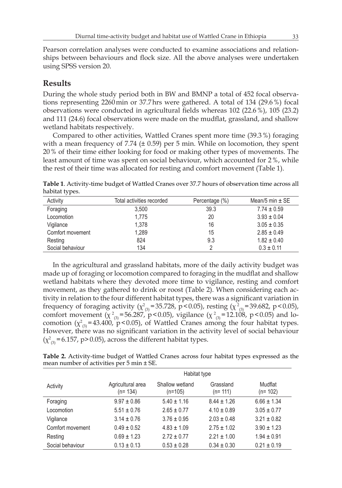Pearson correlation analyses were conducted to examine associations and relationships between behaviours and flock size. All the above analyses were undertaken using SPSS version 20.

### **Results**

During the whole study period both in BW and BMNP a total of 452 focal observations representing 2260min or 37.7hrs were gathered. A total of 134 (29.6%) focal observations were conducted in agricultural fields whereas 102 (22.6%), 105 (23.2) and 111 (24.6) focal observations were made on the mudflat, grassland, and shallow wetland habitats respectively.

Compared to other activities, Wattled Cranes spent more time (39.3%) foraging with a mean frequency of 7.74 ( $\pm$  0.59) per 5 min. While on locomotion, they spent 20% of their time either looking for food or making other types of movements. The least amount of time was spent on social behaviour, which accounted for 2%, while the rest of their time was allocated for resting and comfort movement (Table 1).

**Table 1**. Activity-time budget of Wattled Cranes over 37.7 hours of observation time across all habitat types.

| Activity         | Total activities recorded | Percentage (%) | Mean/5 min $\pm$ SE |
|------------------|---------------------------|----------------|---------------------|
| Foraging         | 3.500                     | 39.3           | $7.74 \pm 0.59$     |
| Locomotion       | 1.775                     | 20             | $3.93 \pm 0.04$     |
| Vigilance        | 1.378                     | 16             | $3.05 \pm 0.35$     |
| Comfort movement | 1.289                     | 15             | $2.85 \pm 0.49$     |
| Resting          | 824                       | 9.3            | $1.82 \pm 0.40$     |
| Social behaviour | 134                       |                | $0.3 \pm 0.11$      |

In the agricultural and grassland habitats, more of the daily activity budget was made up of foraging or locomotion compared to foraging in the mudflat and shallow wetland habitats where they devoted more time to vigilance, resting and comfort movement, as they gathered to drink or roost (Table 2). When considering each activity in relation to the four different habitat types, there was a significant variation in frequency of foraging activity ( $\chi^2_{(3)}$ =35.728, p <0.05), resting ( $\chi^2_{(3)}$ =39.682, p <0.05), comfort movement ( $\chi^2_{(3)}$ =56.287, p<0.05), vigilance ( $\chi^2_{(3)}$ =12.108, p<0.05) and locomotion  $(\chi^2_{(3)}=43.400, p<0.05)$ , of Wattled Cranes among the four habitat types. However, there was no significant variation in the activity level of social behaviour  $(\chi^2_{(3)} = 6.157, p > 0.05)$ , across the different habitat types.

**Table 2.** Activity-time budget of Wattled Cranes across four habitat types expressed as the mean number of activities per 5 min ± SE.

|                  | Habitat type                   |                              |                        |                      |  |
|------------------|--------------------------------|------------------------------|------------------------|----------------------|--|
| Activity         | Agricultural area<br>$(n=134)$ | Shallow wetland<br>$(n=105)$ | Grassland<br>$(n=111)$ | Mudflat<br>$(n=102)$ |  |
| Foraging         | $9.97 \pm 0.86$                | $5.40 \pm 1.16$              | $8.44 \pm 1.26$        | $6.66 \pm 1.34$      |  |
| Locomotion       | $5.51 \pm 0.76$                | $2.65 \pm 0.77$              | $4.10 \pm 0.89$        | $3.05 \pm 0.77$      |  |
| Vigilance        | $3.14 \pm 0.76$                | $3.76 \pm 0.95$              | $2.03 \pm 0.48$        | $3.21 \pm 0.82$      |  |
| Comfort movement | $0.49 \pm 0.52$                | $4.83 \pm 1.09$              | $2.75 \pm 1.02$        | $3.90 \pm 1.23$      |  |
| Resting          | $0.69 \pm 1.23$                | $2.72 \pm 0.77$              | $2.21 \pm 1.00$        | $1.94 \pm 0.91$      |  |
| Social behaviour | $0.13 \pm 0.13$                | $0.53 \pm 0.28$              | $0.34 \pm 0.30$        | $0.21 \pm 0.19$      |  |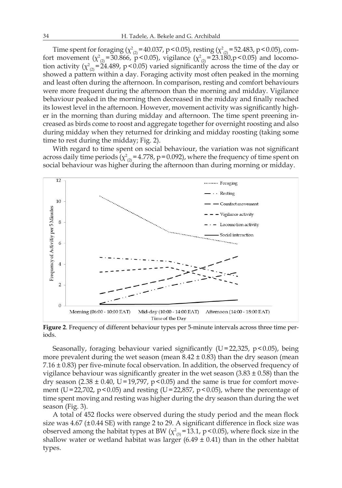Time spent for foraging ( $\chi^2_{(2)}$  = 40.037, p < 0.05), resting ( $\chi^2_{(2)}$  = 52.483, p < 0.05), comfort movement ( $\chi^2_{(2)}$ =30.866, p<0.05), vigilance ( $\chi^2_{(2)}$ =23.180,p<0.05) and locomotion activity ( $\chi^2_{(2)}$ =24.489, p<0.05) varied significantly across the time of the day or showed a pattern within a day. Foraging activity most often peaked in the morning and least often during the afternoon. In comparison, resting and comfort behaviours were more frequent during the afternoon than the morning and midday. Vigilance behaviour peaked in the morning then decreased in the midday and finally reached its lowest level in the afternoon. However, movement activity was significantly higher in the morning than during midday and afternoon. The time spent preening increased as birds come to roost and aggregate together for overnight roosting and also during midday when they returned for drinking and midday roosting (taking some time to rest during the midday; Fig. 2).

With regard to time spent on social behaviour, the variation was not significant across daily time periods ( $\chi^2_{(2)}$  = 4.778, p = 0.092), where the frequency of time spent on social behaviour was higher during the afternoon than during morning or midday.



**Figure 2**. Frequency of different behaviour types per 5-minute intervals across three time periods.

Seasonally, foraging behaviour varied significantly ( $U=22,325$ ,  $p<0.05$ ), being more prevalent during the wet season (mean  $8.42 \pm 0.83$ ) than the dry season (mean 7.16 ± 0.83) per five-minute focal observation. In addition, the observed frequency of vigilance behaviour was significantly greater in the wet season  $(3.83 \pm 0.58)$  than the dry season (2.38  $\pm$  0.40, U=19,797, p < 0.05) and the same is true for comfort movement (U=22,702, p<0.05) and resting (U=22,857, p<0.05), where the percentage of time spent moving and resting was higher during the dry season than during the wet season (Fig. 3).

A total of 452 flocks were observed during the study period and the mean flock size was  $4.67 \pm 0.44$  SE) with range 2 to 29. A significant difference in flock size was observed among the habitat types at BW  $(\chi^2_{(3)} = 13.1, p < 0.05)$ , where flock size in the shallow water or wetland habitat was larger  $(6.49 \pm 0.41)$  than in the other habitat types.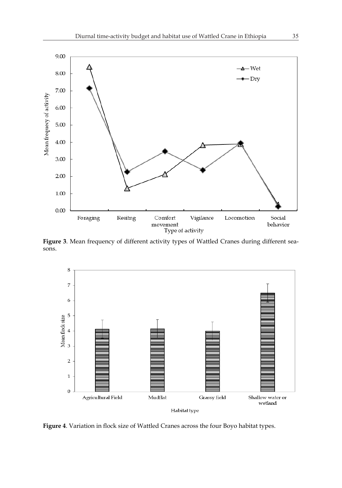

Figure 3. Mean frequency of different activity types of Wattled Cranes during different seasons.



**Figure 4**. Variation in flock size of Wattled Cranes across the four Boyo habitat types.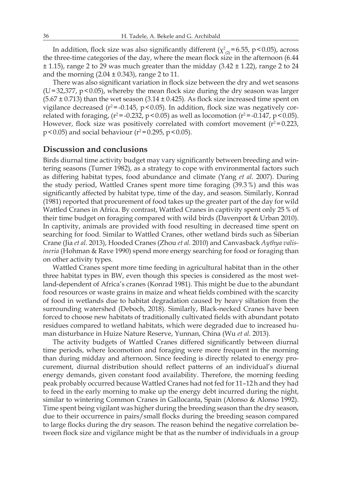In addition, flock size was also significantly different ( $\chi^2_{(2)}$ =6.55, p<0.05), across the three-time categories of the day, where the mean flock size in the afternoon (6.44  $\pm$  1.15), range 2 to 29 was much greater than the midday (3.42  $\pm$  1.22), range 2 to 24 and the morning  $(2.04 \pm 0.343)$ , range 2 to 11.

There was also significant variation in flock size between the dry and wet seasons  $(U=32,377, p<0.05)$ , whereby the mean flock size during the dry season was larger  $(5.67 \pm 0.713)$  than the wet season  $(3.14 \pm 0.425)$ . As flock size increased time spent on vigilance decreased ( $r^2$ =-0.145, p < 0.05). In addition, flock size was negatively correlated with foraging,  $(r^2 = -0.232, p \le 0.05)$  as well as locomotion  $(r^2 = -0.147, p \le 0.05)$ . However, flock size was positively correlated with comfort movement  $(r^2=0.223,$  $p < 0.05$ ) and social behaviour ( $r^2 = 0.295$ ,  $p < 0.05$ ).

### **Discussion and conclusions**

Birds diurnal time activity budget may vary significantly between breeding and wintering seasons (Turner 1982), as a strategy to cope with environmental factors such as differing habitat types, food abundance and climate (Yang *et al.* 2007). During the study period, Wattled Cranes spent more time foraging (39.3%) and this was significantly affected by habitat type, time of the day, and season. Similarly, Konrad (1981) reported that procurement of food takes up the greater part of the day for wild Wattled Cranes in Africa. By contrast, Wattled Cranes in captivity spent only 25% of their time budget on foraging compared with wild birds (Davenport & Urban 2010). In captivity, animals are provided with food resulting in decreased time spent on searching for food. Similar to Wattled Cranes, other wetland birds such as Siberian Crane (Jia *et al.* 2013), Hooded Cranes (Zhou *et al.* 2010) and Canvasback *Aythya valisineria* (Hohman & Rave 1990) spend more energy searching for food or foraging than on other activity types.

Wattled Cranes spent more time feeding in agricultural habitat than in the other three habitat types in BW, even though this species is considered as the most wetland-dependent of Africa's cranes (Konrad 1981). This might be due to the abundant food resources or waste grains in maize and wheat fields combined with the scarcity of food in wetlands due to habitat degradation caused by heavy siltation from the surrounding watershed (Deboch, 2018). Similarly, Black-necked Cranes have been forced to choose new habitats of traditionally cultivated fields with abundant potato residues compared to wetland habitats, which were degraded due to increased human disturbance in Huize Nature Reserve, Yunnan, China (Wu *et al.* 2013).

The activity budgets of Wattled Cranes differed significantly between diurnal time periods, where locomotion and foraging were more frequent in the morning than during midday and afternoon. Since feeding is directly related to energy procurement, diurnal distribution should reflect patterns of an individual's diurnal energy demands, given constant food availability. Therefore, the morning feeding peak probably occurred because Wattled Cranes had not fed for 11–12h and they had to feed in the early morning to make up the energy debt incurred during the night, similar to wintering Common Cranes in Gallocanta, Spain (Alonso & Alonso 1992). Time spent being vigilant was higher during the breeding season than the dry season, due to their occurrence in pairs/small flocks during the breeding season compared to large flocks during the dry season. The reason behind the negative correlation between flock size and vigilance might be that as the number of individuals in a group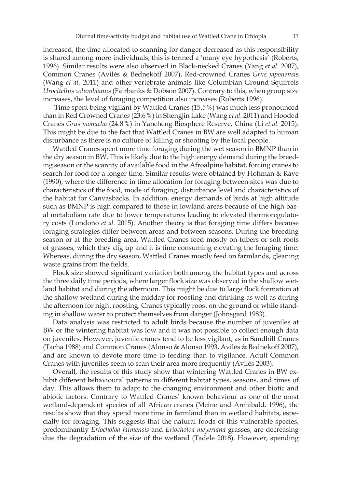increased, the time allocated to scanning for danger decreased as this responsibility is shared among more individuals; this is termed a 'many eye hypothesis' (Roberts, 1996). Similar results were also observed in Black-necked Cranes (Yang *et al.* 2007), Common Cranes (Avilés & Bednekoff 2007), Red-crowned Cranes *Grus japonensi*s (Wang *et al.* 2011) and other vertebrate animals like Columbian Ground Squirrels *Urocitellus columbianus* (Fairbanks & Dobson 2007). Contrary to this, when group size increases, the level of foraging competition also increases (Roberts 1996).

 Time spent being vigilant by Wattled Cranes (15.5%) was much less pronounced than in Red Crowned Crane*s* (23.6%) in Shengjin Lake (Wang *et al.* 2011) and Hooded Cranes *Grus monacha* (24.8%) in Yancheng Biosphere Reserve, China (Li *et al.* 2015). This might be due to the fact that Wattled Cranes in BW are well adapted to human disturbance as there is no culture of killing or shooting by the local people.

Wattled Cranes spent more time foraging during the wet season in BMNP than in the dry season in BW. This is likely due to the high energy demand during the breeding season or the scarcity of available food in the Afroalpine habitat, forcing cranes to search for food for a longer time. Similar results were obtained by Hohman & Rave (1990), where the difference in time allocation for foraging between sites was due to characteristics of the food, mode of foraging, disturbance level and characteristics of the habitat for Canvasbacks. In addition, energy demands of birds at high altitude such as BMNP is high compared to those in lowland areas because of the high basal metabolism rate due to lower temperatures leading to elevated thermoregulatory costs (Londoño *et al.* 2015). Another theory is that foraging time differs because foraging strategies differ between areas and between seasons. During the breeding season or at the breeding area, Wattled Cranes feed mostly on tubers or soft roots of grasses, which they dig up and it is time consuming elevating the foraging time. Whereas, during the dry season, Wattled Cranes mostly feed on farmlands, gleaning waste grains from the fields.

Flock size showed significant variation both among the habitat types and across the three daily time periods, where larger flock size was observed in the shallow wetland habitat and during the afternoon. This might be due to large flock formation at the shallow wetland during the midday for roosting and drinking as well as during the afternoon for night roosting. Cranes typically roost on the ground or while standing in shallow water to protect themselves from danger (Johnsgard 1983).

Data analysis was restricted to adult birds because the number of juveniles at BW or the wintering habitat was low and it was not possible to collect enough data on juveniles. However, juvenile cranes tend to be less vigilant, as in Sandhill Cranes (Tacha 1988) and Common Cranes (Alonso & Alonso 1993, Avilés & Bednekoff 2007), and are known to devote more time to feeding than to vigilance. Adult Common Cranes with juveniles seem to scan their area more frequently (Avilés 2003).

Overall, the results of this study show that wintering Wattled Cranes in BW exhibit different behavioural patterns in different habitat types, seasons, and times of day. This allows them to adapt to the changing environment and other biotic and abiotic factors. Contrary to Wattled Cranes' known behaviour as one of the most wetland-dependent species of all African cranes (Meine and Archibald, 1996), the results show that they spend more time in farmland than in wetland habitats, especially for foraging. This suggests that the natural foods of this vulnerable species, predominantly *Eriocholoa fatmensis* and *Eriocholoa meyeriana* grasses, are decreasing due the degradation of the size of the wetland (Tadele 2018). However, spending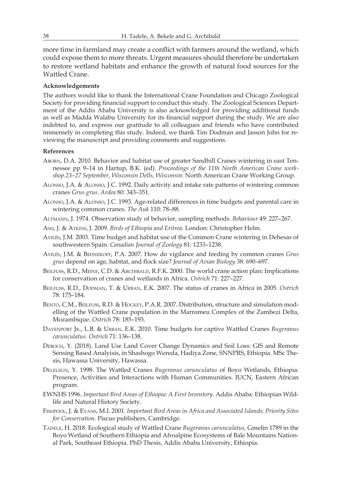more time in farmland may create a conflict with farmers around the wetland, which could expose them to more threats. Urgent measures should therefore be undertaken to restore wetland habitats and enhance the growth of natural food sources for the Wattled Crane.

### **Acknowledgements**

The authors would like to thank the International Crane Foundation and Chicago Zoological Society for providing financial support to conduct this study. The Zoological Sciences Department of the Addis Ababa University is also acknowledged for providing additional funds as well as Madda Walabu University for its financial support during the study. We are also indebted to, and express our gratitude to all colleagues and friends who have contributed immensely in completing this study. Indeed, we thank Tim Dodman and Jasson John for reviewing the manuscript and providing comments and suggestions.

### **References**

- Aborn, D.A. 2010. Behavior and habitat use of greater Sandhill Cranes wintering in east Tennessee pp 9–14 in Hartup, B.K. (ed). *Proceedings of the 11th North American Crane workshop.23–27 September, Wisconsin Dells, Wisconsin*: North American Crane Working Group.
- Alonso, J.A. & Alonso, J.C. 1992. Daily activity and intake rate patterns of wintering common cranes *Grus grus*. *Ardea* 80: 343–351.
- Alonso, J.A. & Alonso, J.C. 1993. Age-related differences in time budgets and parental care in wintering common cranes. *The Auk* 110: 78–88.
- Altmann, J. 1974. Observation study of behavior, sampling methods. *Behaviour* 49: 227–267.
- Ash, J. & Atkins, J. 2009. *Birds of Ethiopia and Eritrea*. London: Christopher Helm.
- Avilés, J.M. 2003. Time budget and habitat use of the Common Crane wintering in Dehesas of southwestern Spain. *Canadian Journal of Zoology* 81: 1233–1238.
- Avilés, J.M. & Bednekoff, P.A. 2007. How do vigilance and feeding by common cranes *Grus grus* depend on age, habitat, and flock size? *Journal of Avian Biology* 38: 690–697.
- BEILFUSS, R.D., MEINE, C.D. & ARCHIBALD, R.F.K. 2000. The world crane action plan: Implications for conservation of cranes and wetlands in Africa. *Ostrich* 71: 227–227.
- Beilfuss, R.D., Dodman, T. & Urban, E.K. 2007. The status of cranes in Africa in 2005. *Ostrich*  78: 175–184.
- BENTO, C.M., BEILFUSS, R.D. & HOCKEY, P.A.R. 2007. Distribution, structure and simulation modelling of the Wattled Crane population in the Marromeu Complex of the Zambezi Delta, Mozambique. *Ostrich* 78: 185–193.
- Davenport Jr., L.B. & Urban, E.K. 2010. Time budgets for captive Wattled Cranes *Bugeranus carunculatus*. *Ostrich* 71: 136–138.
- Deboch, Y. (2018). Land Use Land Cover Change Dynamics and Soil Loss: GIS and Remote Sensing Based Analyisis, in Shashogo Wereda, Hadiya Zone, SNNPRS, Ethiopia. MSc Thesis, Hawassa University, Hawassa.
- Delelegn, Y. 1998. The Wattled Cranes *Bugeranus carunculatus* of Boyo Wetlands, Ethiopia: Presence, Activities and Interactions with Human Communities. IUCN, Eastern African program.
- EWNHS 1996. *Important Bird Areas of Ethiopia: A First Inventory.* Addis Ababa: Ethiopian Wildlife and Natural History Society.
- Fishpool, J. & Evans, M.I. 2001. *Important Bird Areas in Africa and Associated Islands; Priority Sites for Conservation*. Piscus publishers, Cambridge.
- Tadele, H. 2018. Ecological study of Wattled Crane *Bugeranus carunculatus,* Gmelin 1789 in the Boyo Wetland of Southern Ethiopia and Afroalpine Ecosystems of Bale Mountains National Park, Southeast Ethiopia. PhD Thesis, Addis Ababa University, Ethiopia.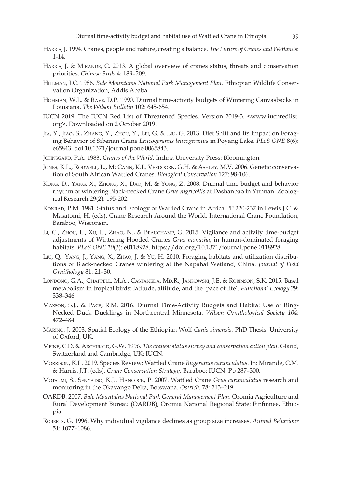- Harris, J. 1994. Cranes, people and nature, creating a balance. *The Future of Cranes and Wetlands*: 1-14.
- HARRIS, J. & MIRANDE, C. 2013. A global overview of cranes status, threats and conservation priorities. *Chinese Birds* 4: 189–209.
- Hillman, J.C. 1986. *Bale Mountains National Park Management Plan.* Ethiopian Wildlife Conservation Organization, Addis Ababa.
- Hohman, W.L. & Rave, D.P. 1990. Diurnal time-activity budgets of Wintering Canvasbacks in Louisiana. *The Wilson Bulletin* 102: 645-654.
- IUCN 2019. The IUCN Red List of Threatened Species. Version 2019-3. <www.iucnredlist. org>. Downloaded on 2 October 2019.
- Jia, Y., Jiao, S., Zhang, Y., Zhou, Y., Lei, G. & Liu, G. 2013. Diet Shift and Its Impact on Foraging Behavior of Siberian Crane *Leucogeranus leucogeranus* in Poyang Lake. *PLoS ONE* 8(6): e65843. doi:10.1371/journal.pone.0065843.
- Johnsgard, P.A. 1983. *Cranes of the World.* Indina University Press: Bloomington.
- JONES, K.L., RODWELL, L., MCCANN, K.I., VERDOORN, G.H. & ASHLEY, M.V. 2006. Genetic conservation of South African Wattled Cranes. *Biological Conservation* 127: 98-106.
- Kong, D., Yang, X., Zhong, X., Dao, M. & Yong, Z. 2008. Diurnal time budget and behavior rhythm of wintering Black-necked Crane *Grus nigricollis* at Dashanbao in Yunnan. Zoological Research 29(2): 195-202.
- KONRAD, P.M. 1981. Status and Ecology of Wattled Crane in Africa PP 220-237 in Lewis J.C. & Masatomi, H. (eds). Crane Research Around the World. International Crane Foundation, Baraboo, Wisconsin.
- Li, C., Zhou, L., Xu, L., Zhao, N., & Beauchamp, G. 2015. Vigilance and activity time-budget adjustments of Wintering Hooded Cranes *Grus monacha*, in human-dominated foraging habitats. *PLoS ONE 10*(3): e0118928. https://doi.org/10.1371/journal.pone.0118928.
- Liu, Q., Yang, J., Yang, X., Zhao, J. & Yu, H. 2010. Foraging habitats and utilization distributions of Black-necked Cranes wintering at the Napahai Wetland, China. *Journal of Field Ornithology* 81: 21–30.
- Londoño, G.A., Chappell, M.A., Castañeda, Md.R., Jankowski, J.E. & Robinson, S.K. 2015. Basal metabolism in tropical birds: latitude, altitude, and the 'pace of life'. *Functional Ecology* 29: 338–346.
- Maxson, S.J., & Pace, R.M. 2016. Diurnal Time-Activity Budgets and Habitat Use of Ring-Necked Duck Ducklings in Northcentral Minnesota. *Wilson Ornithological Society 104*: 472–484.
- Marino, J. 2003. Spatial Ecology of the Ethiopian Wolf *Canis simensis.* PhD Thesis, University of Oxford, UK.
- Meine, C.D. & Archibald, G.W. 1996. *The cranes: status survey and conservation action plan.* Gland, Switzerland and Cambridge, UK: IUCN.
- Morrison, K.L. 2019. Species Review: Wattled Crane *Bugeranus carunculatus*. In: Mirande, C.M. & Harris, J.T. (eds), *Crane Conservation Strategy*. Baraboo: IUCN. Pp 287–300.
- Motsumi, S., Senyatso, K.J., Hancock, P. 2007. Wattled Crane *Grus carunculatus* research and monitoring in the Okavango Delta, Botswana. *Ostrich.* 78: 213–219.
- OARDB. 2007. *Bale Mountains National Park General Management Plan*. Oromia Agriculture and Rural Development Bureau (OARDB), Oromia National Regional State: Finfinnee, Ethiopia.
- Roberts, G. 1996. Why individual vigilance declines as group size increases. *Animal Behaviour*  51: 1077–1086.